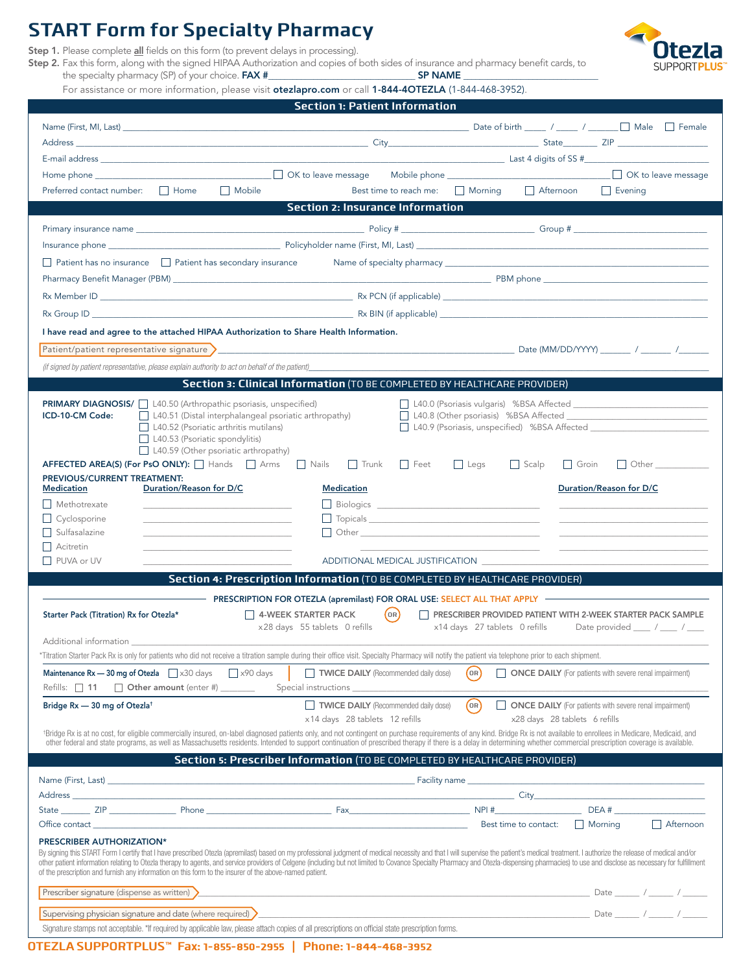### **START Form for Specialty Pharmacy**

Step 1. Please complete all fields on this form (to prevent delays in processing).

Step 2. Fax this form, along with the signed HIPAA Authorization and copies of both sides of insurance and pharmacy benefit cards, to the specialty pharmacy (SP) of your choice. FAX #\_



For assistance or more information, please visit otezlapro.com or call 1-844-4OTEZLA (1-844-468-3952).

| <b>Section 1: Patient Information</b>                                                                                                                                                                                                                                                                                                                                                                                                                |                                                                                                              |  |  |
|------------------------------------------------------------------------------------------------------------------------------------------------------------------------------------------------------------------------------------------------------------------------------------------------------------------------------------------------------------------------------------------------------------------------------------------------------|--------------------------------------------------------------------------------------------------------------|--|--|
|                                                                                                                                                                                                                                                                                                                                                                                                                                                      | Date of birth _____ / _____ / ______ __ Male ____ Female                                                     |  |  |
|                                                                                                                                                                                                                                                                                                                                                                                                                                                      |                                                                                                              |  |  |
|                                                                                                                                                                                                                                                                                                                                                                                                                                                      |                                                                                                              |  |  |
| □ OK to leave message                                                                                                                                                                                                                                                                                                                                                                                                                                |                                                                                                              |  |  |
| $\Box$ Mobile<br>$\Box$ Home<br>Preferred contact number:                                                                                                                                                                                                                                                                                                                                                                                            | Morning Afternoon<br>Best time to reach me:<br>$\Box$ Evening                                                |  |  |
| <b>Section 2: Insurance Information</b>                                                                                                                                                                                                                                                                                                                                                                                                              |                                                                                                              |  |  |
|                                                                                                                                                                                                                                                                                                                                                                                                                                                      |                                                                                                              |  |  |
|                                                                                                                                                                                                                                                                                                                                                                                                                                                      |                                                                                                              |  |  |
|                                                                                                                                                                                                                                                                                                                                                                                                                                                      |                                                                                                              |  |  |
| $\Box$ Patient has no insurance $\Box$ Patient has secondary insurance                                                                                                                                                                                                                                                                                                                                                                               |                                                                                                              |  |  |
|                                                                                                                                                                                                                                                                                                                                                                                                                                                      |                                                                                                              |  |  |
|                                                                                                                                                                                                                                                                                                                                                                                                                                                      |                                                                                                              |  |  |
|                                                                                                                                                                                                                                                                                                                                                                                                                                                      |                                                                                                              |  |  |
| I have read and agree to the attached HIPAA Authorization to Share Health Information.                                                                                                                                                                                                                                                                                                                                                               |                                                                                                              |  |  |
|                                                                                                                                                                                                                                                                                                                                                                                                                                                      |                                                                                                              |  |  |
| (if signed by patient representative, please explain authority to act on behalf of the patient)                                                                                                                                                                                                                                                                                                                                                      |                                                                                                              |  |  |
| Section 3: Clinical Information (TO BE COMPLETED BY HEALTHCARE PROVIDER)                                                                                                                                                                                                                                                                                                                                                                             |                                                                                                              |  |  |
|                                                                                                                                                                                                                                                                                                                                                                                                                                                      |                                                                                                              |  |  |
| <b>PRIMARY DIAGNOSIS/</b> 140.50 (Arthropathic psoriasis, unspecified)<br>$\Box$ L40.51 (Distal interphalangeal psoriatic arthropathy)<br>ICD-10-CM Code:                                                                                                                                                                                                                                                                                            | □ L40.0 (Psoriasis vulgaris) %BSA Affected<br>L40.8 (Other psoriasis) %BSA Affected                          |  |  |
| L40.52 (Psoriatic arthritis mutilans)                                                                                                                                                                                                                                                                                                                                                                                                                | L40.9 (Psoriasis, unspecified) %BSA Affected                                                                 |  |  |
| L40.53 (Psoriatic spondylitis)<br>L40.59 (Other psoriatic arthropathy)                                                                                                                                                                                                                                                                                                                                                                               |                                                                                                              |  |  |
| AFFECTED AREA(S) (For PsO ONLY):   Hands   Arms   Nails<br>Trunk                                                                                                                                                                                                                                                                                                                                                                                     | $\Box$ Feet<br>$\Box$ Legs<br>$\Box$ Other $\_\_\_\_\_\_\_\_\_\_\_\_\_\_\_\_\_\_$<br>$\Box$ Scalp<br>  Groin |  |  |
| PREVIOUS/CURRENT TREATMENT:                                                                                                                                                                                                                                                                                                                                                                                                                          |                                                                                                              |  |  |
| Duration/Reason for D/C<br><b>Medication</b><br><b>Medication</b>                                                                                                                                                                                                                                                                                                                                                                                    | Duration/Reason for D/C                                                                                      |  |  |
| Methotrexate                                                                                                                                                                                                                                                                                                                                                                                                                                         |                                                                                                              |  |  |
| $\Box$ Cyclosporine<br>$\Box$ Sulfasalazine                                                                                                                                                                                                                                                                                                                                                                                                          | Topicals Topicals <b>The Community of the Community Community</b>                                            |  |  |
| Acitretin                                                                                                                                                                                                                                                                                                                                                                                                                                            |                                                                                                              |  |  |
| PUVA or UV                                                                                                                                                                                                                                                                                                                                                                                                                                           |                                                                                                              |  |  |
| Section 4: Prescription Information (TO BE COMPLETED BY HEALTHCARE PROVIDER)                                                                                                                                                                                                                                                                                                                                                                         |                                                                                                              |  |  |
|                                                                                                                                                                                                                                                                                                                                                                                                                                                      |                                                                                                              |  |  |
| 4-WEEK STARTER PACK<br>Starter Pack (Titration) Rx for Otezla*                                                                                                                                                                                                                                                                                                                                                                                       | (0R)<br>PRESCRIBER PROVIDED PATIENT WITH 2-WEEK STARTER PACK SAMPLE                                          |  |  |
| x28 days 55 tablets 0 refills                                                                                                                                                                                                                                                                                                                                                                                                                        | x14 days 27 tablets 0 refills Date provided ___ / ___ / ___                                                  |  |  |
| Additional information                                                                                                                                                                                                                                                                                                                                                                                                                               |                                                                                                              |  |  |
| *Titration Starter Pack Rx is only for patients who did not receive a titration sample during their office visit. Specialty Pharmacy will notify the patient via telephone prior to each shipment.                                                                                                                                                                                                                                                   |                                                                                                              |  |  |
| <b>Maintenance Rx - 30 mg of Otezla</b> $\Box$ x30 days $\Box$ x90 days<br>TWICE DAILY (Recommended daily dose)                                                                                                                                                                                                                                                                                                                                      | $($ OR)<br>ONCE DAILY (For patients with severe renal impairment)                                            |  |  |
| Refills: 11 Other amount (enter #) ______                                                                                                                                                                                                                                                                                                                                                                                                            |                                                                                                              |  |  |
| TWICE DAILY (Recommended daily dose)<br>Bridge Rx - 30 mg of Otezla <sup>t</sup>                                                                                                                                                                                                                                                                                                                                                                     | (n)<br>ONCE DAILY (For patients with severe renal impairment)                                                |  |  |
| x14 days 28 tablets 12 refills                                                                                                                                                                                                                                                                                                                                                                                                                       | x28 days 28 tablets 6 refills                                                                                |  |  |
| *Bridge Rx is at no cost, for eligible commercially insured, on-label diagnosed patients only, and not contingent on purchase requirements of any kind. Bridge Rx is not available to enrollees in Medicare, Medicaid, and<br>other federal and state programs, as well as Massachusetts residents. Intended to support continuation of prescribed therapy if there is a delay in determining whether commercial prescription coverage is available. |                                                                                                              |  |  |
| Section 5: Prescriber Information (TO BE COMPLETED BY HEALTHCARE PROVIDER)                                                                                                                                                                                                                                                                                                                                                                           |                                                                                                              |  |  |
|                                                                                                                                                                                                                                                                                                                                                                                                                                                      |                                                                                                              |  |  |
|                                                                                                                                                                                                                                                                                                                                                                                                                                                      |                                                                                                              |  |  |
|                                                                                                                                                                                                                                                                                                                                                                                                                                                      |                                                                                                              |  |  |
| Office contact: $\Box$ Morning                                                                                                                                                                                                                                                                                                                                                                                                                       | $\Box$ Afternoon                                                                                             |  |  |
| PRESCRIBER AUTHORIZATION*                                                                                                                                                                                                                                                                                                                                                                                                                            |                                                                                                              |  |  |
| By signing this START Form I certify that I have prescribed Otezla (apremilast) based on my professional judgment of medical necessity and that I will supervise the patient's medical treatment. I authorize the release of m                                                                                                                                                                                                                       |                                                                                                              |  |  |
| other patient information relating to Otezla therapy to agents, and service providers of Celgene (including but not limited to Covance Specialty Pharmacy and Otezla-dispensing pharmacies) to use and disclose as necessary f<br>of the prescription and furnish any information on this form to the insurer of the above-named patient.                                                                                                            |                                                                                                              |  |  |
| Prescriber signature (dispense as written)                                                                                                                                                                                                                                                                                                                                                                                                           |                                                                                                              |  |  |
|                                                                                                                                                                                                                                                                                                                                                                                                                                                      |                                                                                                              |  |  |
| Supervising physician signature and date (where required) $\sum$                                                                                                                                                                                                                                                                                                                                                                                     |                                                                                                              |  |  |
| Signature stamps not acceptable. *If required by applicable law, please attach copies of all prescriptions on official state prescription forms.                                                                                                                                                                                                                                                                                                     |                                                                                                              |  |  |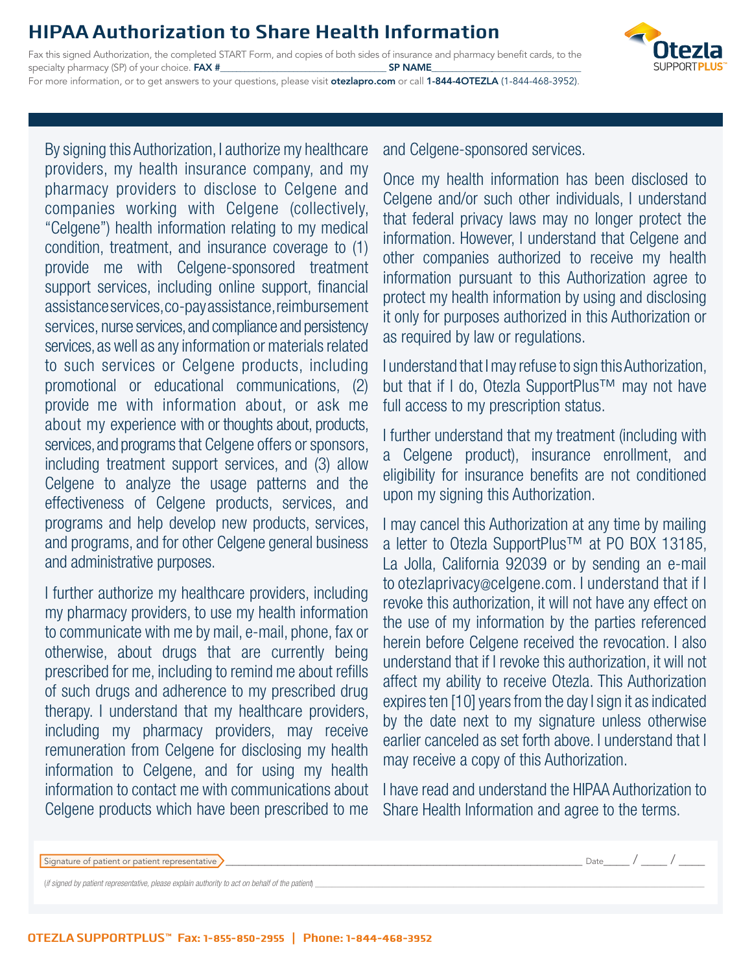### **HIPAA Authorization to Share Health Information**

Fax this signed Authorization, the completed START Form, and copies of both sides of insurance and pharmacy benefit cards, to the specialty pharmacy (SP) of your choice. FAX #\_\_\_\_\_\_\_\_\_\_\_\_\_\_\_\_\_\_\_\_\_\_\_\_\_\_\_\_\_\_\_\_\_\_\_\_\_\_\_\_\_ SP NAME\_\_\_\_\_\_\_\_\_\_\_\_\_\_\_\_\_\_\_\_\_\_\_\_\_\_\_\_\_\_\_\_\_\_\_\_\_ For more information, or to get answers to your questions, please visit otezlapro.com or call 1-844-40TEZLA (1-844-468-3952).



By signing this Authorization, I authorize my healthcare providers, my health insurance company, and my pharmacy providers to disclose to Celgene and companies working with Celgene (collectively, "Celgene") health information relating to my medical condition, treatment, and insurance coverage to (1) provide me with Celgene-sponsored treatment support services, including online support, financial assistance services, co-pay assistance, reimbursement services, nurse services, and compliance and persistency services, as well as any information or materials related to such services or Celgene products, including promotional or educational communications, (2) provide me with information about, or ask me about my experience with or thoughts about, products, services, and programs that Celgene offers or sponsors, including treatment support services, and (3) allow Celgene to analyze the usage patterns and the effectiveness of Celgene products, services, and programs and help develop new products, services, and programs, and for other Celgene general business and administrative purposes.

I further authorize my healthcare providers, including my pharmacy providers, to use my health information to communicate with me by mail, e-mail, phone, fax or otherwise, about drugs that are currently being prescribed for me, including to remind me about refills of such drugs and adherence to my prescribed drug therapy. I understand that my healthcare providers, including my pharmacy providers, may receive remuneration from Celgene for disclosing my health information to Celgene, and for using my health information to contact me with communications about Celgene products which have been prescribed to me

and Celgene-sponsored services.

Once my health information has been disclosed to Celgene and/or such other individuals, I understand that federal privacy laws may no longer protect the information. However, I understand that Celgene and other companies authorized to receive my health information pursuant to this Authorization agree to protect my health information by using and disclosing it only for purposes authorized in this Authorization or as required by law or regulations.

I understand that I may refuse to sign this Authorization, but that if I do, Otezla SupportPlus™ may not have full access to my prescription status.

I further understand that my treatment (including with a Celgene product), insurance enrollment, and eligibility for insurance benefits are not conditioned upon my signing this Authorization.

I may cancel this Authorization at any time by mailing a letter to Otezla SupportPlus™ at PO BOX 13185, La Jolla, California 92039 or by sending an e-mail to otezlaprivacy@celgene.com. I understand that if I revoke this authorization, it will not have any effect on the use of my information by the parties referenced herein before Celgene received the revocation. I also understand that if I revoke this authorization, it will not affect my ability to receive Otezla. This Authorization expires ten [10] years from the day I sign it as indicated by the date next to my signature unless otherwise earlier canceled as set forth above. I understand that I may receive a copy of this Authorization.

I have read and understand the HIPAA Authorization to Share Health Information and agree to the terms.

|  |  | Signature of patient or patient representative |  |
|--|--|------------------------------------------------|--|
|--|--|------------------------------------------------|--|

 $\_$  Date $\_$  /  $\_$  /

(if signed by patient representative, please explain authority to act on behalf of the patient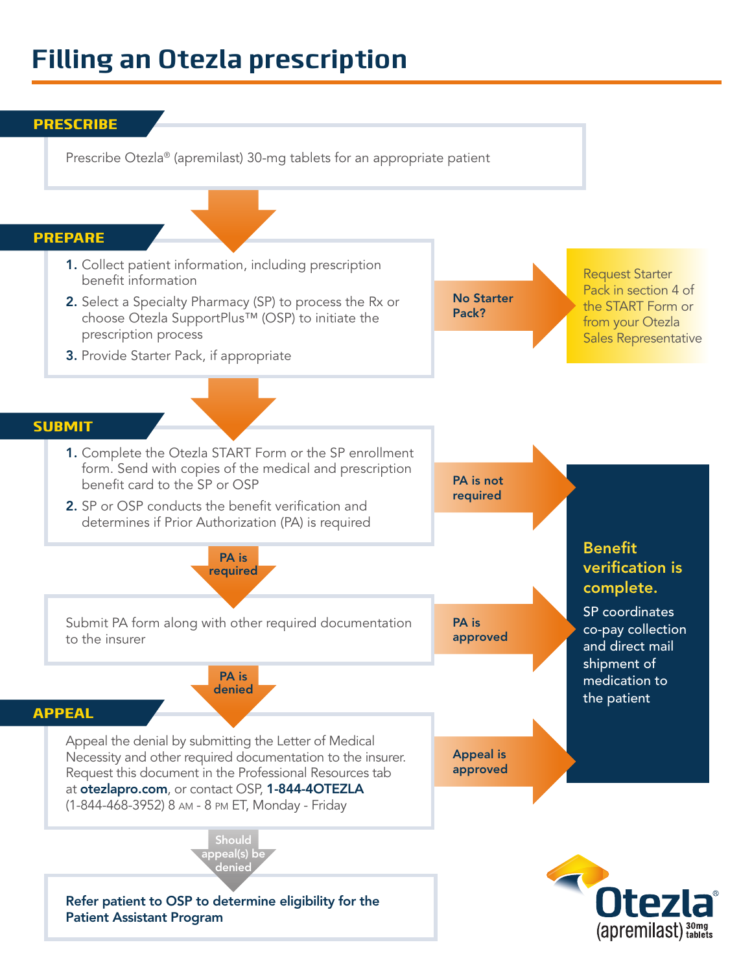# **Filling an Otezla prescription**

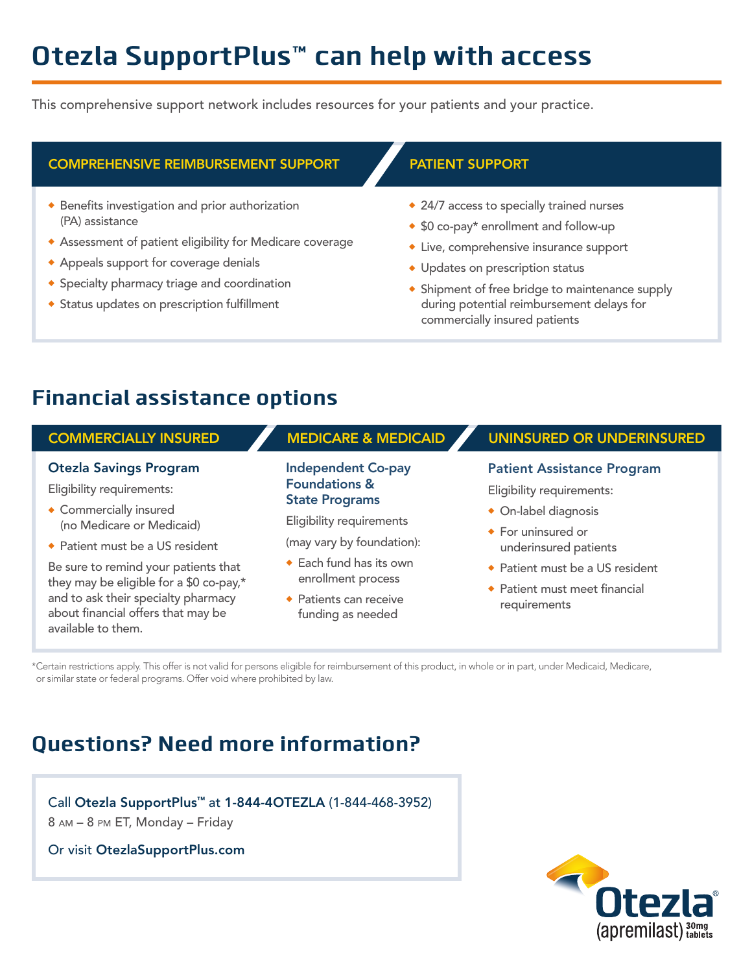# **Otezla SupportPlus™ can help with access**

This comprehensive support network includes resources for your patients and your practice.

### COMPREHENSIVE REIMBURSEMENT SUPPORT PATIENT SUPPORT

- $\bullet$  Benefits investigation and prior authorization (PA) assistance
- **Assessment of patient eligibility for Medicare coverage**
- Appeals support for coverage denials
- **\*** Specialty pharmacy triage and coordination
- **\*** Status updates on prescription fulfillment

- $\triangle$  24/7 access to specially trained nurses
- $\triangleq$  \$0 co-pay\* enrollment and follow-up
- Live, comprehensive insurance support
- Updates on prescription status
- $\bullet$  Shipment of free bridge to maintenance supply during potential reimbursement delays for commercially insured patients

## **Financial assistance options**

### COMMERCIALLY INSURED

### Otezla Savings Program

Eligibility requirements:

- $\bullet$  Commercially insured (no Medicare or Medicaid)
- Patient must be a US resident

Be sure to remind your patients that they may be eligible for a \$0 co-pay,\* and to ask their specialty pharmacy about financial offers that may be available to them.

### Independent Co-pay Foundations & State Programs

Eligibility requirements

(may vary by foundation):

- $\triangleleft$  Each fund has its own enrollment process
- $\bullet$  Patients can receive funding as needed

### MEDICARE & MEDICAID V UNINSURED OR UNDERINSURED

### Patient Assistance Program

Eligibility requirements:

 $\bullet$  On-label diagnosis

- $\bullet$  For uninsured or underinsured patients
- ◆ Patient must be a US resident
- $\bullet$  Patient must meet financial requirements

\*Certain restrictions apply. This offer is not valid for persons eligible for reimbursement of this product, in whole or in part, under Medicaid, Medicare, or similar state or federal programs. Offer void where prohibited by law.

# **Questions? Need more information?**

Call Otezla SupportPlus™ at 1-844-4OTEZLA (1-844-468-3952) 8 am – 8 pm ET, Monday – Friday

Or visit OtezlaSupportPlus.com

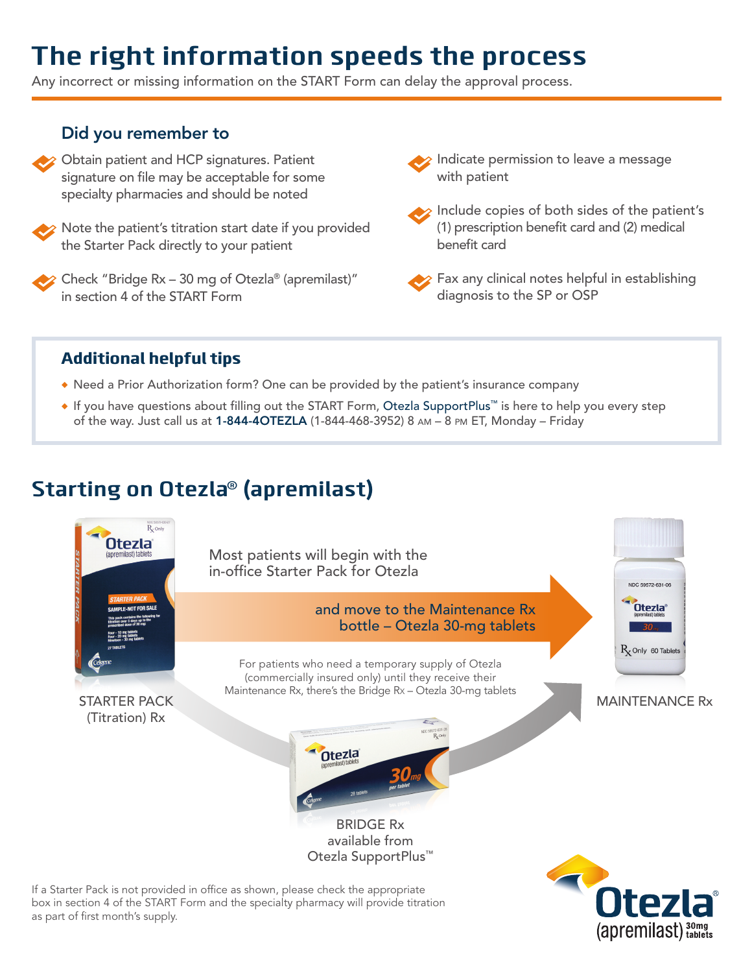# **The right information speeds the process**

Any incorrect or missing information on the START Form can delay the approval process.

### Did you remember to

- $\rightarrow$  Obtain patient and HCP signatures. Patient signature on file may be acceptable for some specialty pharmacies and should be noted
- 

Note the patient's titration start date if you provided the Starter Pack directly to your patient

Check "Bridge Rx – 30 mg of Otezla® (apremilast)" in section 4 of the START Form

- $\hat{\epsilon}$  Indicate permission to leave a message with patient
- Include copies of both sides of the patient's (1) prescription benefit card and (2) medical benefit card

Fax any clinical notes helpful in establishing diagnosis to the SP or OSP

### Additional helpful tips

- Need a Prior Authorization form? One can be provided by the patient's insurance company
- If you have questions about filling out the START Form, Otezla SupportPlus™ is here to help you every step of the way. Just call us at 1-844-4OTEZLA (1-844-468-3952) 8 am – 8 pm ET, Monday – Friday

## **Starting on Otezla® (apremilast)**



If a Starter Pack is not provided in office as shown, please check the appropriate box in section 4 of the START Form and the specialty pharmacy will provide titration as part of first month's supply.